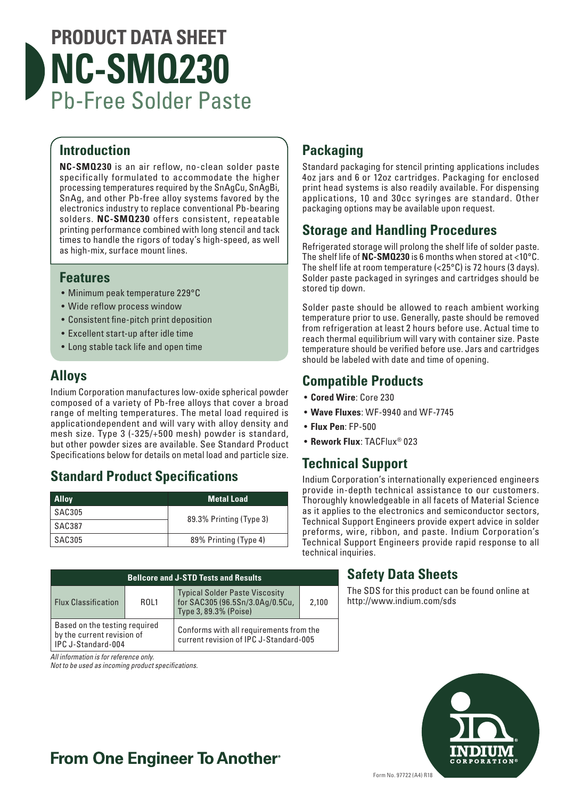# **PRODUCT DATA SHEET NC-SMQ230** Pb-Free Solder Paste

#### **Introduction**

**NC-SMQ230** is an air reflow, no-clean solder paste specifically formulated to accommodate the higher processing temperatures required by the SnAgCu, SnAgBi, SnAg, and other Pb-free alloy systems favored by the electronics industry to replace conventional Pb-bearing solders. **NC-SMQ230** offers consistent, repeatable printing performance combined with long stencil and tack times to handle the rigors of today's high-speed, as well as high-mix, surface mount lines.

#### **Features**

- Minimum peak temperature 229°C
- Wide reflow process window
- Consistent fine-pitch print deposition
- Excellent start-up after idle time
- Long stable tack life and open time

### **Alloys**

Indium Corporation manufactures low-oxide spherical powder composed of a variety of Pb-free alloys that cover a broad range of melting temperatures. The metal load required is applicationdependent and will vary with alloy density and mesh size. Type 3 (-325/+500 mesh) powder is standard, but other powder sizes are available. See Standard Product Specifications below for details on metal load and particle size.

## **Standard Product Specifications**

| <b>Alloy</b>  | <b>Metal Load</b>       |  |
|---------------|-------------------------|--|
| SAC305        | 89.3% Printing (Type 3) |  |
| SAC387        |                         |  |
| <b>SAC305</b> | 89% Printing (Type 4)   |  |

| <b>Bellcore and J-STD Tests and Results</b>                                       |      |                                                                                                   |       |  |
|-----------------------------------------------------------------------------------|------|---------------------------------------------------------------------------------------------------|-------|--|
| <b>Flux Classification</b>                                                        | ROL1 | <b>Typical Solder Paste Viscosity</b><br>for SAC305 (96.5Sn/3.0Ag/0.5Cu,<br>Type 3, 89.3% (Poise) | 2.100 |  |
| Based on the testing required<br>by the current revision of<br>IPC J-Standard-004 |      | Conforms with all requirements from the<br>current revision of IPC J-Standard-005                 |       |  |

*All information is for reference only.*

*Not to be used as incoming product specifications.*

## **Packaging**

Standard packaging for stencil printing applications includes 4oz jars and 6 or 12oz cartridges. Packaging for enclosed print head systems is also readily available. For dispensing applications, 10 and 30cc syringes are standard. Other packaging options may be available upon request.

#### **Storage and Handling Procedures**

Refrigerated storage will prolong the shelf life of solder paste. The shelf life of **NC-SMQ230** is 6 months when stored at <10°C. The shelf life at room temperature (<25°C) is 72 hours (3 days). Solder paste packaged in syringes and cartridges should be stored tip down.

Solder paste should be allowed to reach ambient working temperature prior to use. Generally, paste should be removed from refrigeration at least 2 hours before use. Actual time to reach thermal equilibrium will vary with container size. Paste temperature should be verified before use. Jars and cartridges should be labeled with date and time of opening.

#### **Compatible Products**

- **Cored Wire**: Core 230
- **Wave Fluxes**: WF-9940 and WF-7745
- **Flux Pen**: FP-500
- **Rework Flux**: TACFlux® 023

### **Technical Support**

Indium Corporation's internationally experienced engineers provide in-depth technical assistance to our customers. Thoroughly knowledgeable in all facets of Material Science as it applies to the electronics and semiconductor sectors, Technical Support Engineers provide expert advice in solder preforms, wire, ribbon, and paste. Indium Corporation's Technical Support Engineers provide rapid response to all technical inquiries.

### **Safety Data Sheets**

The SDS for this product can be found online at http://www.indium.com/sds



## **From One Engineer To Another**®